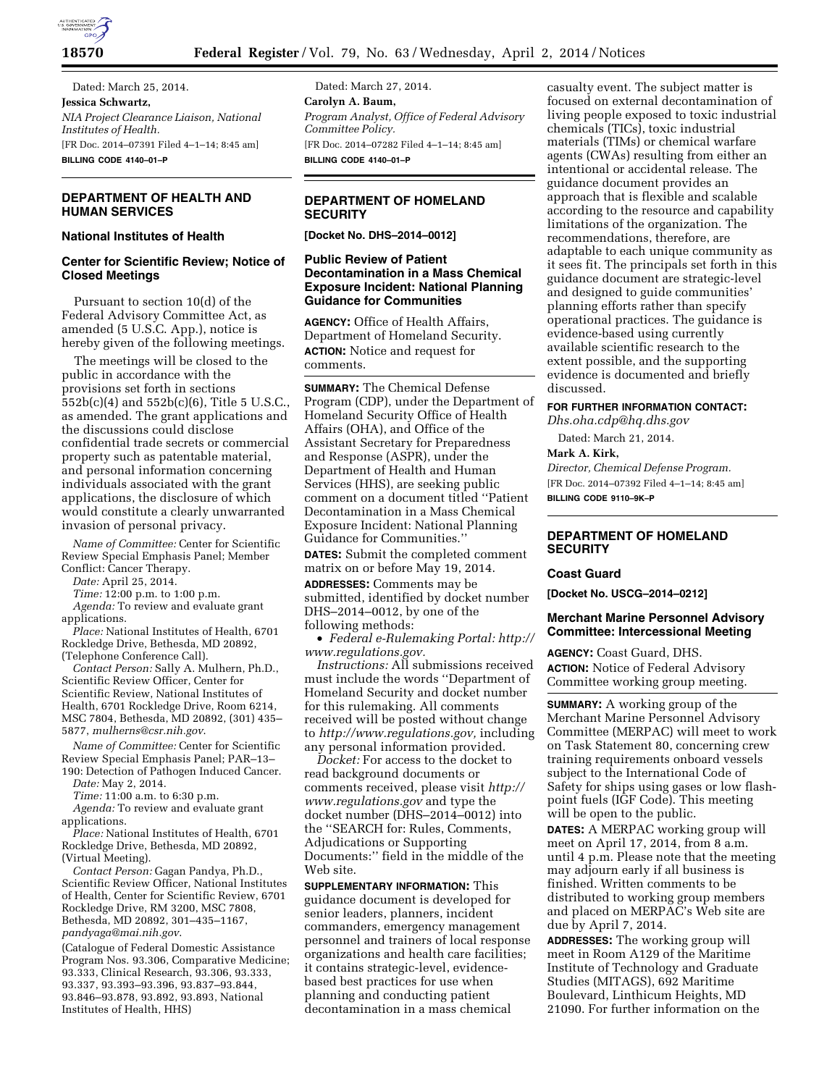

Dated: March 25, 2014. **Jessica Schwartz,**  *NIA Project Clearance Liaison, National Institutes of Health.*  [FR Doc. 2014–07391 Filed 4–1–14; 8:45 am] **BILLING CODE 4140–01–P** 

#### **DEPARTMENT OF HEALTH AND HUMAN SERVICES**

### **National Institutes of Health**

# **Center for Scientific Review; Notice of Closed Meetings**

Pursuant to section 10(d) of the Federal Advisory Committee Act, as amended (5 U.S.C. App.), notice is hereby given of the following meetings.

The meetings will be closed to the public in accordance with the provisions set forth in sections 552b(c)(4) and 552b(c)(6), Title 5 U.S.C., as amended. The grant applications and the discussions could disclose confidential trade secrets or commercial property such as patentable material, and personal information concerning individuals associated with the grant applications, the disclosure of which would constitute a clearly unwarranted invasion of personal privacy.

*Name of Committee:* Center for Scientific Review Special Emphasis Panel; Member Conflict: Cancer Therapy.

*Date:* April 25, 2014.

*Time:* 12:00 p.m. to 1:00 p.m.

*Agenda:* To review and evaluate grant applications.

*Place:* National Institutes of Health, 6701 Rockledge Drive, Bethesda, MD 20892, (Telephone Conference Call).

*Contact Person:* Sally A. Mulhern, Ph.D., Scientific Review Officer, Center for Scientific Review, National Institutes of Health, 6701 Rockledge Drive, Room 6214, MSC 7804, Bethesda, MD 20892, (301) 435– 5877, *[mulherns@csr.nih.gov](mailto:mulherns@csr.nih.gov)*.

*Name of Committee:* Center for Scientific Review Special Emphasis Panel; PAR–13– 190: Detection of Pathogen Induced Cancer.

*Date:* May 2, 2014.

*Time:* 11:00 a.m. to 6:30 p.m.

*Agenda:* To review and evaluate grant applications.

*Place:* National Institutes of Health, 6701 Rockledge Drive, Bethesda, MD 20892, (Virtual Meeting).

*Contact Person:* Gagan Pandya, Ph.D., Scientific Review Officer, National Institutes of Health, Center for Scientific Review, 6701 Rockledge Drive, RM 3200, MSC 7808, Bethesda, MD 20892, 301–435–1167, *[pandyaga@mai.nih.gov](mailto:pandyaga@mai.nih.gov)*.

(Catalogue of Federal Domestic Assistance Program Nos. 93.306, Comparative Medicine; 93.333, Clinical Research, 93.306, 93.333, 93.337, 93.393–93.396, 93.837–93.844, 93.846–93.878, 93.892, 93.893, National Institutes of Health, HHS)

Dated: March 27, 2014. **Carolyn A. Baum,**  *Program Analyst, Office of Federal Advisory Committee Policy.*  [FR Doc. 2014–07282 Filed 4–1–14; 8:45 am] **BILLING CODE 4140–01–P** 

## **DEPARTMENT OF HOMELAND SECURITY**

**[Docket No. DHS–2014–0012]** 

## **Public Review of Patient Decontamination in a Mass Chemical Exposure Incident: National Planning Guidance for Communities**

**AGENCY:** Office of Health Affairs, Department of Homeland Security.

**ACTION:** Notice and request for comments.

**SUMMARY:** The Chemical Defense Program (CDP), under the Department of Homeland Security Office of Health Affairs (OHA), and Office of the Assistant Secretary for Preparedness and Response (ASPR), under the Department of Health and Human Services (HHS), are seeking public comment on a document titled ''Patient Decontamination in a Mass Chemical Exposure Incident: National Planning Guidance for Communities.''

**DATES:** Submit the completed comment matrix on or before May 19, 2014.

**ADDRESSES:** Comments may be

submitted, identified by docket number DHS–2014–0012, by one of the following methods:

• *Federal e-Rulemaking Portal: [http://](http://www.regulations.gov) [www.regulations.gov.](http://www.regulations.gov)* 

*Instructions:* All submissions received must include the words ''Department of Homeland Security and docket number for this rulemaking. All comments received will be posted without change to *[http://www.regulations.gov,](http://www.regulations.gov)* including any personal information provided.

*Docket:* For access to the docket to read background documents or comments received, please visit *[http://](http://www.regulations.gov) [www.regulations.gov](http://www.regulations.gov)* and type the docket number (DHS–2014–0012) into the ''SEARCH for: Rules, Comments, Adjudications or Supporting Documents:'' field in the middle of the Web site.

**SUPPLEMENTARY INFORMATION:** This guidance document is developed for senior leaders, planners, incident commanders, emergency management personnel and trainers of local response organizations and health care facilities; it contains strategic-level, evidencebased best practices for use when planning and conducting patient decontamination in a mass chemical

casualty event. The subject matter is focused on external decontamination of living people exposed to toxic industrial chemicals (TICs), toxic industrial materials (TIMs) or chemical warfare agents (CWAs) resulting from either an intentional or accidental release. The guidance document provides an approach that is flexible and scalable according to the resource and capability limitations of the organization. The recommendations, therefore, are adaptable to each unique community as it sees fit. The principals set forth in this guidance document are strategic-level and designed to guide communities' planning efforts rather than specify operational practices. The guidance is evidence-based using currently available scientific research to the extent possible, and the supporting evidence is documented and briefly discussed.

#### **FOR FURTHER INFORMATION CONTACT:**

*[Dhs.oha.cdp@hq.dhs.gov](mailto:Dhs.oha.cdp@hq.dhs.gov)*  Dated: March 21, 2014.

#### **Mark A. Kirk,**

*Director, Chemical Defense Program.*  [FR Doc. 2014–07392 Filed 4–1–14; 8:45 am] **BILLING CODE 9110–9K–P** 

# **DEPARTMENT OF HOMELAND SECURITY**

#### **Coast Guard**

**[Docket No. USCG–2014–0212]** 

### **Merchant Marine Personnel Advisory Committee: Intercessional Meeting**

**AGENCY:** Coast Guard, DHS. **ACTION:** Notice of Federal Advisory Committee working group meeting.

**SUMMARY:** A working group of the Merchant Marine Personnel Advisory Committee (MERPAC) will meet to work on Task Statement 80, concerning crew training requirements onboard vessels subject to the International Code of Safety for ships using gases or low flashpoint fuels (IGF Code). This meeting will be open to the public.

**DATES:** A MERPAC working group will meet on April 17, 2014, from 8 a.m. until 4 p.m. Please note that the meeting may adjourn early if all business is finished. Written comments to be distributed to working group members and placed on MERPAC's Web site are due by April 7, 2014.

**ADDRESSES:** The working group will meet in Room A129 of the Maritime Institute of Technology and Graduate Studies (MITAGS), 692 Maritime Boulevard, Linthicum Heights, MD 21090. For further information on the